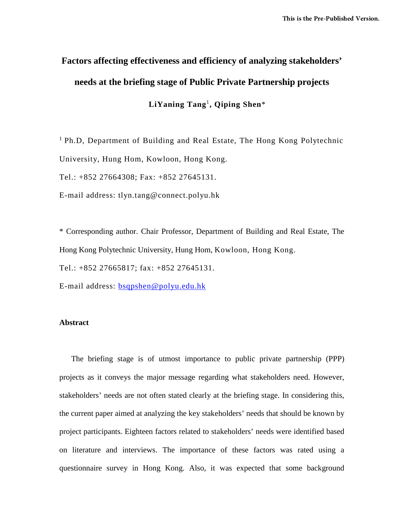# **Factors affecting effectiveness and efficiency of analyzing stakeholders' needs at the briefing stage of Public Private Partnership projects**

**LiYaning Tang**<sup>1</sup>**, Qiping Shen**\*

<sup>1</sup> Ph.D, Department of Building and Real Estate, The Hong Kong Polytechnic University, Hung Hom, Kowloon, Hong Kong. Tel.: +852 27664308; Fax: +852 27645131.

E-mail address: tlyn.tang@connect.polyu.hk

\* Corresponding author. Chair Professor, Department of Building and Real Estate, The Hong Kong Polytechnic University, Hung Hom, Kowloon, Hong Kong.

Tel.: +852 27665817; fax: +852 27645131.

E-mail address: [bsqpshen@polyu.edu.hk](mailto:07900729r@polyu.edu.hk)

#### **Abstract**

The briefing stage is of utmost importance to public private partnership (PPP) projects as it conveys the major message regarding what stakeholders need. However, stakeholders' needs are not often stated clearly at the briefing stage. In considering this, the current paper aimed at analyzing the key stakeholders' needs that should be known by project participants. Eighteen factors related to stakeholders' needs were identified based on literature and interviews. The importance of these factors was rated using a questionnaire survey in Hong Kong. Also, it was expected that some background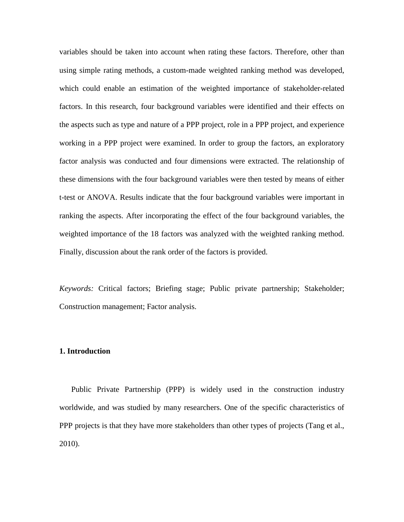variables should be taken into account when rating these factors. Therefore, other than using simple rating methods, a custom-made weighted ranking method was developed, which could enable an estimation of the weighted importance of stakeholder-related factors. In this research, four background variables were identified and their effects on the aspects such as type and nature of a PPP project, role in a PPP project, and experience working in a PPP project were examined. In order to group the factors, an exploratory factor analysis was conducted and four dimensions were extracted. The relationship of these dimensions with the four background variables were then tested by means of either t-test or ANOVA. Results indicate that the four background variables were important in ranking the aspects. After incorporating the effect of the four background variables, the weighted importance of the 18 factors was analyzed with the weighted ranking method. Finally, discussion about the rank order of the factors is provided.

*Keywords:* Critical factors; Briefing stage; Public private partnership; Stakeholder; Construction management; Factor analysis.

#### **1. Introduction**

Public Private Partnership (PPP) is widely used in the construction industry worldwide, and was studied by many researchers. One of the specific characteristics of PPP projects is that they have more stakeholders than other types of projects (Tang et al., 2010).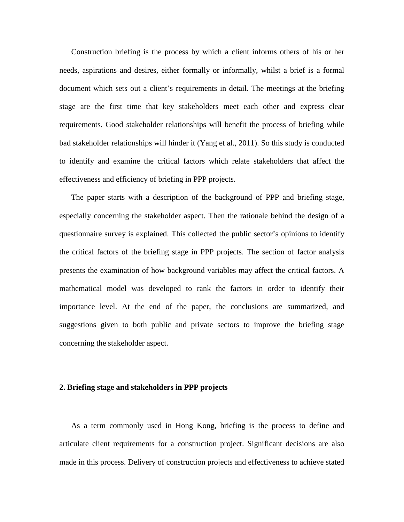Construction briefing is the process by which a client informs others of his or her needs, aspirations and desires, either formally or informally, whilst a brief is a formal document which sets out a client's requirements in detail. The meetings at the briefing stage are the first time that key stakeholders meet each other and express clear requirements. Good stakeholder relationships will benefit the process of briefing while bad stakeholder relationships will hinder it (Yang et al., 2011). So this study is conducted to identify and examine the critical factors which relate stakeholders that affect the effectiveness and efficiency of briefing in PPP projects.

The paper starts with a description of the background of PPP and briefing stage, especially concerning the stakeholder aspect. Then the rationale behind the design of a questionnaire survey is explained. This collected the public sector's opinions to identify the critical factors of the briefing stage in PPP projects. The section of factor analysis presents the examination of how background variables may affect the critical factors. A mathematical model was developed to rank the factors in order to identify their importance level. At the end of the paper, the conclusions are summarized, and suggestions given to both public and private sectors to improve the briefing stage concerning the stakeholder aspect.

#### **2. Briefing stage and stakeholders in PPP projects**

As a term commonly used in Hong Kong, briefing is the process to define and articulate client requirements for a construction project. Significant decisions are also made in this process. Delivery of construction projects and effectiveness to achieve stated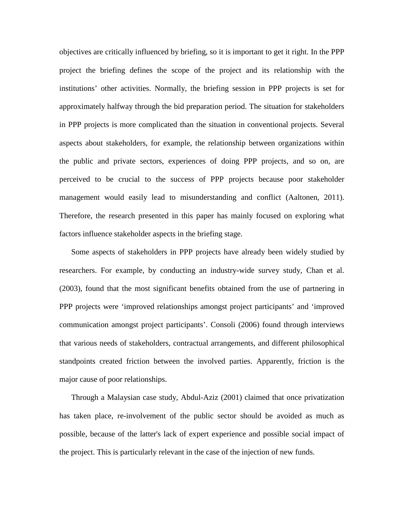objectives are critically influenced by briefing, so it is important to get it right. In the PPP project the briefing defines the scope of the project and its relationship with the institutions' other activities. Normally, the briefing session in PPP projects is set for approximately halfway through the bid preparation period. The situation for stakeholders in PPP projects is more complicated than the situation in conventional projects. Several aspects about stakeholders, for example, the relationship between organizations within the public and private sectors, experiences of doing PPP projects, and so on, are perceived to be crucial to the success of PPP projects because poor stakeholder management would easily lead to misunderstanding and conflict (Aaltonen, 2011). Therefore, the research presented in this paper has mainly focused on exploring what factors influence stakeholder aspects in the briefing stage.

Some aspects of stakeholders in PPP projects have already been widely studied by researchers. For example, by conducting an industry-wide survey study, Chan et al. (2003), found that the most significant benefits obtained from the use of partnering in PPP projects were 'improved relationships amongst project participants' and 'improved communication amongst project participants'. Consoli (2006) found through interviews that various needs of stakeholders, contractual arrangements, and different philosophical standpoints created friction between the involved parties. Apparently, friction is the major cause of poor relationships.

Through a Malaysian case study, Abdul-Aziz (2001) claimed that once privatization has taken place, re-involvement of the public sector should be avoided as much as possible, because of the latter's lack of expert experience and possible social impact of the project. This is particularly relevant in the case of the injection of new funds.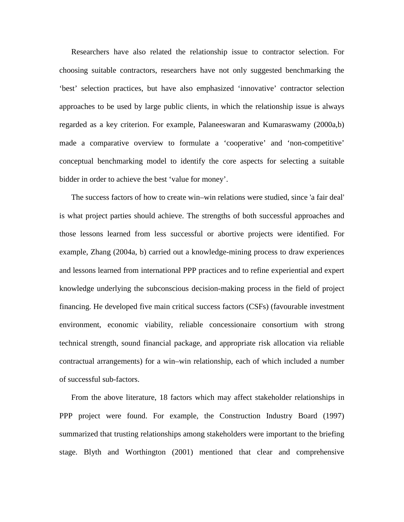Researchers have also related the relationship issue to contractor selection. For choosing suitable contractors, researchers have not only suggested benchmarking the 'best' selection practices, but have also emphasized 'innovative' contractor selection approaches to be used by large public clients, in which the relationship issue is always regarded as a key criterion. For example, Palaneeswaran and Kumaraswamy (2000a,b) made a comparative overview to formulate a 'cooperative' and 'non-competitive' conceptual benchmarking model to identify the core aspects for selecting a suitable bidder in order to achieve the best 'value for money'.

The success factors of how to create win–win relations were studied, since 'a fair deal' is what project parties should achieve. The strengths of both successful approaches and those lessons learned from less successful or abortive projects were identified. For example, Zhang (2004a, b) carried out a knowledge-mining process to draw experiences and lessons learned from international PPP practices and to refine experiential and expert knowledge underlying the subconscious decision-making process in the field of project financing. He developed five main critical success factors (CSFs) (favourable investment environment, economic viability, reliable concessionaire consortium with strong technical strength, sound financial package, and appropriate risk allocation via reliable contractual arrangements) for a win–win relationship, each of which included a number of successful sub-factors.

From the above literature, 18 factors which may affect stakeholder relationships in PPP project were found. For example, the Construction Industry Board (1997) summarized that trusting relationships among stakeholders were important to the briefing stage. Blyth and Worthington (2001) mentioned that clear and comprehensive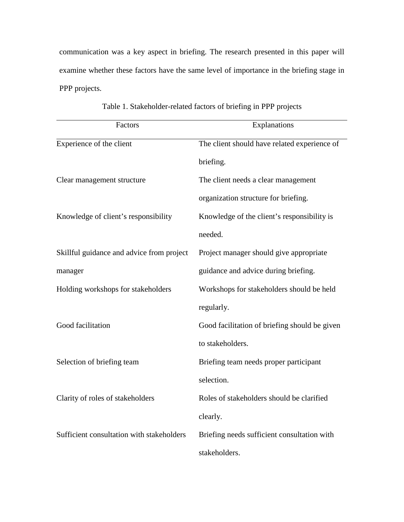communication was a key aspect in briefing. The research presented in this paper will examine whether these factors have the same level of importance in the briefing stage in PPP projects.

| Factors                                   | Explanations                                  |
|-------------------------------------------|-----------------------------------------------|
| Experience of the client                  | The client should have related experience of  |
|                                           | briefing.                                     |
| Clear management structure                | The client needs a clear management           |
|                                           | organization structure for briefing.          |
| Knowledge of client's responsibility      | Knowledge of the client's responsibility is   |
|                                           | needed.                                       |
| Skillful guidance and advice from project | Project manager should give appropriate       |
| manager                                   | guidance and advice during briefing.          |
| Holding workshops for stakeholders        | Workshops for stakeholders should be held     |
|                                           | regularly.                                    |
| Good facilitation                         | Good facilitation of briefing should be given |
|                                           | to stakeholders.                              |
| Selection of briefing team                | Briefing team needs proper participant        |
|                                           | selection.                                    |
| Clarity of roles of stakeholders          | Roles of stakeholders should be clarified     |
|                                           | clearly.                                      |
| Sufficient consultation with stakeholders | Briefing needs sufficient consultation with   |
|                                           | stakeholders.                                 |

Table 1. Stakeholder-related factors of briefing in PPP projects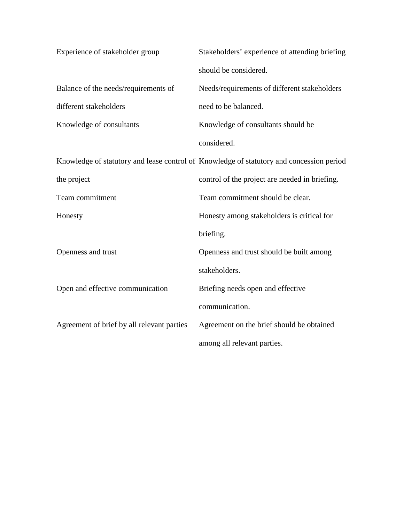| Experience of stakeholder group            | Stakeholders' experience of attending briefing                                           |
|--------------------------------------------|------------------------------------------------------------------------------------------|
|                                            | should be considered.                                                                    |
| Balance of the needs/requirements of       | Needs/requirements of different stakeholders                                             |
| different stakeholders                     | need to be balanced.                                                                     |
| Knowledge of consultants                   | Knowledge of consultants should be                                                       |
|                                            | considered.                                                                              |
|                                            | Knowledge of statutory and lease control of Knowledge of statutory and concession period |
| the project                                | control of the project are needed in briefing.                                           |
| Team commitment                            | Team commitment should be clear.                                                         |
| Honesty                                    | Honesty among stakeholders is critical for                                               |
|                                            | briefing.                                                                                |
| Openness and trust                         | Openness and trust should be built among                                                 |
|                                            | stakeholders.                                                                            |
| Open and effective communication           | Briefing needs open and effective                                                        |
|                                            | communication.                                                                           |
| Agreement of brief by all relevant parties | Agreement on the brief should be obtained                                                |
|                                            | among all relevant parties.                                                              |
|                                            |                                                                                          |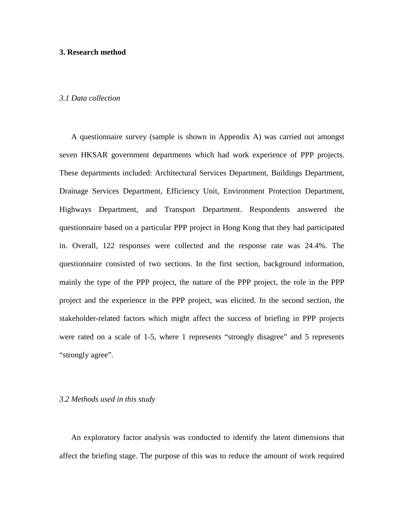#### **3. Research method**

#### *3.1 Data collection*

A questionnaire survey (sample is shown in Appendix A) was carried out amongst seven HKSAR government departments which had work experience of PPP projects. These departments included: Architectural Services Department, Buildings Department, Drainage Services Department, Efficiency Unit, Environment Protection Department, Highways Department, and Transport Department. Respondents answered the questionnaire based on a particular PPP project in Hong Kong that they had participated in. Overall, 122 responses were collected and the response rate was 24.4%. The questionnaire consisted of two sections. In the first section, background information, mainly the type of the PPP project, the nature of the PPP project, the role in the PPP project and the experience in the PPP project, was elicited. In the second section, the stakeholder-related factors which might affect the success of briefing in PPP projects were rated on a scale of 1-5, where 1 represents "strongly disagree" and 5 represents "strongly agree".

#### *3.2 Methods used in this study*

An exploratory factor analysis was conducted to identify the latent dimensions that affect the briefing stage. The purpose of this was to reduce the amount of work required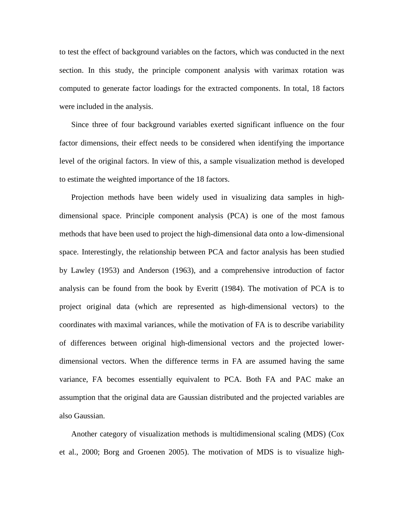to test the effect of background variables on the factors, which was conducted in the next section. In this study, the principle component analysis with varimax rotation was computed to generate factor loadings for the extracted components. In total, 18 factors were included in the analysis.

Since three of four background variables exerted significant influence on the four factor dimensions, their effect needs to be considered when identifying the importance level of the original factors. In view of this, a sample visualization method is developed to estimate the weighted importance of the 18 factors.

Projection methods have been widely used in visualizing data samples in highdimensional space. Principle component analysis (PCA) is one of the most famous methods that have been used to project the high-dimensional data onto a low-dimensional space. Interestingly, the relationship between PCA and factor analysis has been studied by Lawley (1953) and Anderson (1963), and a comprehensive introduction of factor analysis can be found from the book by Everitt (1984). The motivation of PCA is to project original data (which are represented as high-dimensional vectors) to the coordinates with maximal variances, while the motivation of FA is to describe variability of differences between original high-dimensional vectors and the projected lowerdimensional vectors. When the difference terms in FA are assumed having the same variance, FA becomes essentially equivalent to PCA. Both FA and PAC make an assumption that the original data are Gaussian distributed and the projected variables are also Gaussian.

Another category of visualization methods is multidimensional scaling (MDS) (Cox et al., 2000; Borg and Groenen 2005). The motivation of MDS is to visualize high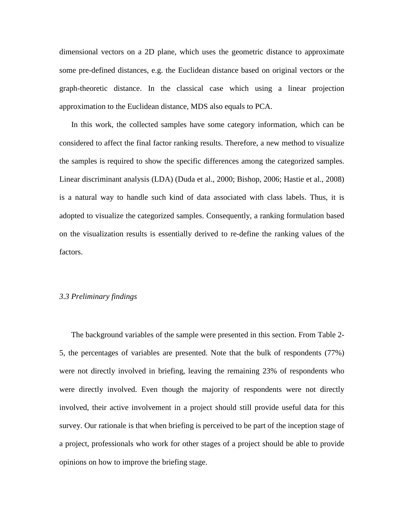dimensional vectors on a 2D plane, which uses the geometric distance to approximate some pre-defined distances, e.g. the Euclidean distance based on original vectors or the graph-theoretic distance. In the classical case which using a linear projection approximation to the Euclidean distance, MDS also equals to PCA.

In this work, the collected samples have some category information, which can be considered to affect the final factor ranking results. Therefore, a new method to visualize the samples is required to show the specific differences among the categorized samples. Linear discriminant analysis (LDA) (Duda et al., 2000; Bishop, 2006; Hastie et al., 2008) is a natural way to handle such kind of data associated with class labels. Thus, it is adopted to visualize the categorized samples. Consequently, a ranking formulation based on the visualization results is essentially derived to re-define the ranking values of the factors.

#### *3.3 Preliminary findings*

The background variables of the sample were presented in this section. From Table 2- 5, the percentages of variables are presented. Note that the bulk of respondents (77%) were not directly involved in briefing, leaving the remaining 23% of respondents who were directly involved. Even though the majority of respondents were not directly involved, their active involvement in a project should still provide useful data for this survey. Our rationale is that when briefing is perceived to be part of the inception stage of a project, professionals who work for other stages of a project should be able to provide opinions on how to improve the briefing stage.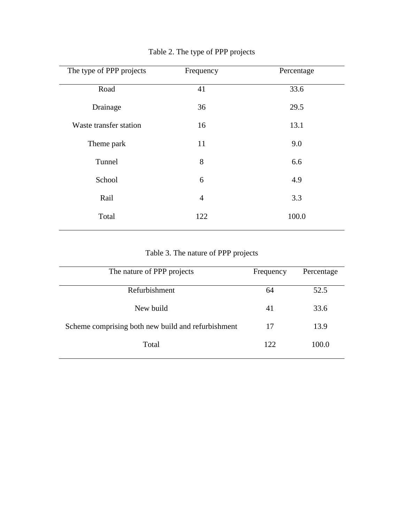| The type of PPP projects | Frequency      | Percentage |
|--------------------------|----------------|------------|
| Road                     | 41             | 33.6       |
| Drainage                 | 36             | 29.5       |
| Waste transfer station   | 16             | 13.1       |
| Theme park               | 11             | 9.0        |
| Tunnel                   | 8              | 6.6        |
| School                   | 6              | 4.9        |
| Rail                     | $\overline{4}$ | 3.3        |
| Total                    | 122            | 100.0      |
|                          |                |            |

# Table 2. The type of PPP projects

# Table 3. The nature of PPP projects

| The nature of PPP projects                         | Frequency | Percentage |
|----------------------------------------------------|-----------|------------|
| Refurbishment                                      | 64        | 52.5       |
| New build                                          | 41        | 33.6       |
| Scheme comprising both new build and refurbishment | 17        | 13.9       |
| Total                                              | 122       | 100.0      |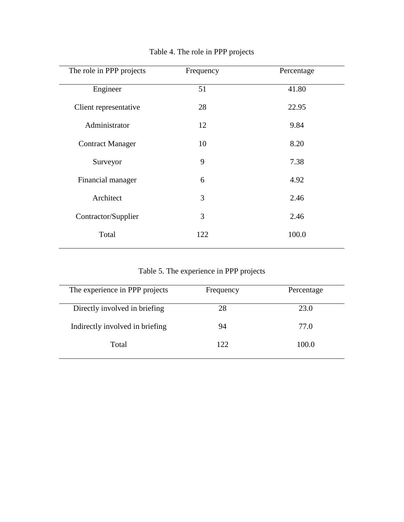| The role in PPP projects | Frequency | Percentage |
|--------------------------|-----------|------------|
| Engineer                 | 51        | 41.80      |
| Client representative    | 28        | 22.95      |
| Administrator            | 12        | 9.84       |
| <b>Contract Manager</b>  | 10        | 8.20       |
| Surveyor                 | 9         | 7.38       |
| Financial manager        | 6         | 4.92       |
| Architect                | 3         | 2.46       |
| Contractor/Supplier      | 3         | 2.46       |
| Total                    | 122       | 100.0      |
|                          |           |            |

# Table 4. The role in PPP projects

Table 5. The experience in PPP projects

| The experience in PPP projects  | Frequency | Percentage |
|---------------------------------|-----------|------------|
| Directly involved in briefing   | 28        | 23.0       |
| Indirectly involved in briefing | 94        | 77.0       |
| Total                           | 122       | 100.0      |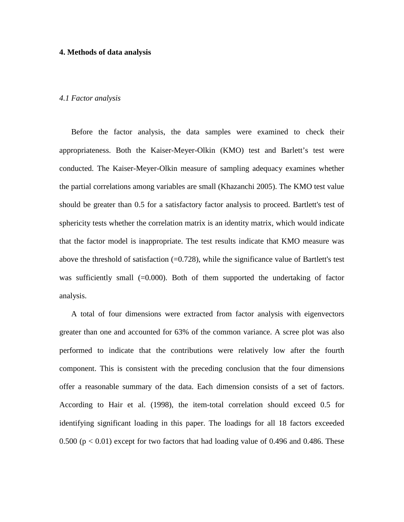#### **4. Methods of data analysis**

#### *4.1 Factor analysis*

Before the factor analysis, the data samples were examined to check their appropriateness. Both the Kaiser-Meyer-Olkin (KMO) test and Barlett's test were conducted. The Kaiser-Meyer-Olkin measure of sampling adequacy examines whether the partial correlations among variables are small (Khazanchi 2005). The KMO test value should be greater than 0.5 for a satisfactory factor analysis to proceed. Bartlett's test of sphericity tests whether the correlation matrix is an identity matrix, which would indicate that the factor model is inappropriate. The test results indicate that KMO measure was above the threshold of satisfaction  $(=0.728)$ , while the significance value of Bartlett's test was sufficiently small  $(=0.000)$ . Both of them supported the undertaking of factor analysis.

A total of four dimensions were extracted from factor analysis with eigenvectors greater than one and accounted for 63% of the common variance. A scree plot was also performed to indicate that the contributions were relatively low after the fourth component. This is consistent with the preceding conclusion that the four dimensions offer a reasonable summary of the data. Each dimension consists of a set of factors. According to Hair et al. (1998), the item-total correlation should exceed 0.5 for identifying significant loading in this paper. The loadings for all 18 factors exceeded 0.500 ( $p < 0.01$ ) except for two factors that had loading value of 0.496 and 0.486. These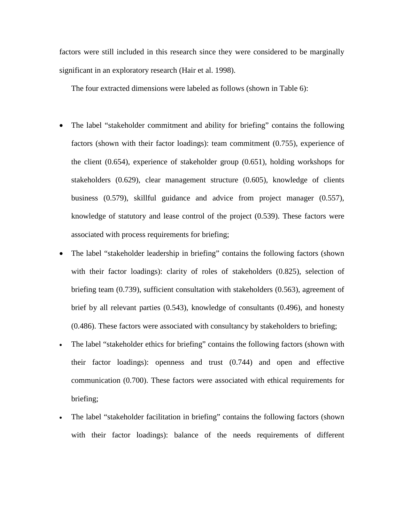factors were still included in this research since they were considered to be marginally significant in an exploratory research (Hair et al. 1998).

The four extracted dimensions were labeled as follows (shown in Table 6):

- The label "stakeholder commitment and ability for briefing" contains the following factors (shown with their factor loadings): team commitment (0.755), experience of the client (0.654), experience of stakeholder group (0.651), holding workshops for stakeholders (0.629), clear management structure (0.605), knowledge of clients business (0.579), skillful guidance and advice from project manager (0.557), knowledge of statutory and lease control of the project (0.539). These factors were associated with process requirements for briefing;
- The label "stakeholder leadership in briefing" contains the following factors (shown with their factor loadings): clarity of roles of stakeholders (0.825), selection of briefing team (0.739), sufficient consultation with stakeholders (0.563), agreement of brief by all relevant parties (0.543), knowledge of consultants (0.496), and honesty (0.486). These factors were associated with consultancy by stakeholders to briefing;
- The label "stakeholder ethics for briefing" contains the following factors (shown with their factor loadings): openness and trust (0.744) and open and effective communication (0.700). These factors were associated with ethical requirements for briefing;
- The label "stakeholder facilitation in briefing" contains the following factors (shown with their factor loadings): balance of the needs requirements of different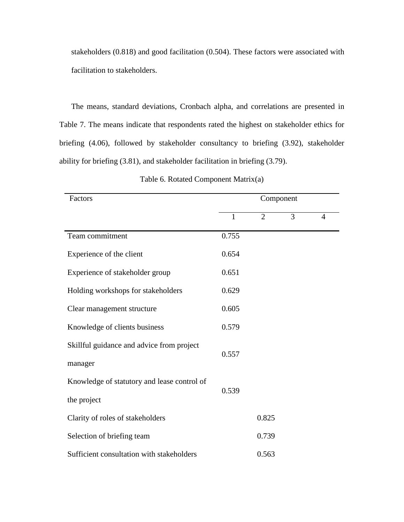stakeholders (0.818) and good facilitation (0.504). These factors were associated with facilitation to stakeholders.

The means, standard deviations, Cronbach alpha, and correlations are presented in Table 7. The means indicate that respondents rated the highest on stakeholder ethics for briefing (4.06), followed by stakeholder consultancy to briefing (3.92), stakeholder ability for briefing (3.81), and stakeholder facilitation in briefing (3.79).

| Factors                                     | Component |                |   |   |  |
|---------------------------------------------|-----------|----------------|---|---|--|
|                                             | 1         | $\overline{2}$ | 3 | 4 |  |
| Team commitment                             | 0.755     |                |   |   |  |
| Experience of the client                    | 0.654     |                |   |   |  |
| Experience of stakeholder group             | 0.651     |                |   |   |  |
| Holding workshops for stakeholders          | 0.629     |                |   |   |  |
| Clear management structure                  | 0.605     |                |   |   |  |
| Knowledge of clients business               | 0.579     |                |   |   |  |
| Skillful guidance and advice from project   |           |                |   |   |  |
| manager                                     | 0.557     |                |   |   |  |
| Knowledge of statutory and lease control of | 0.539     |                |   |   |  |
| the project                                 |           |                |   |   |  |
| Clarity of roles of stakeholders            |           | 0.825          |   |   |  |
| Selection of briefing team                  |           | 0.739          |   |   |  |
| Sufficient consultation with stakeholders   |           | 0.563          |   |   |  |

Table 6. Rotated Component Matrix(a)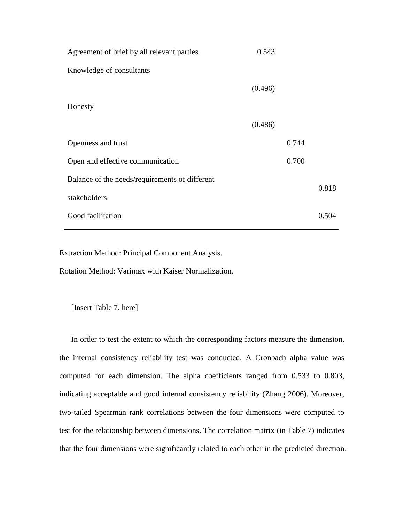| Agreement of brief by all relevant parties     | 0.543   |       |       |
|------------------------------------------------|---------|-------|-------|
| Knowledge of consultants                       |         |       |       |
|                                                | (0.496) |       |       |
| Honesty                                        |         |       |       |
|                                                | (0.486) |       |       |
| Openness and trust                             |         | 0.744 |       |
| Open and effective communication               |         | 0.700 |       |
| Balance of the needs/requirements of different |         |       |       |
| stakeholders                                   |         |       | 0.818 |
| Good facilitation                              |         |       | 0.504 |

Extraction Method: Principal Component Analysis.

Rotation Method: Varimax with Kaiser Normalization.

[Insert Table 7. here]

In order to test the extent to which the corresponding factors measure the dimension, the internal consistency reliability test was conducted. A Cronbach alpha value was computed for each dimension. The alpha coefficients ranged from 0.533 to 0.803, indicating acceptable and good internal consistency reliability (Zhang 2006). Moreover, two-tailed Spearman rank correlations between the four dimensions were computed to test for the relationship between dimensions. The correlation matrix (in Table 7) indicates that the four dimensions were significantly related to each other in the predicted direction.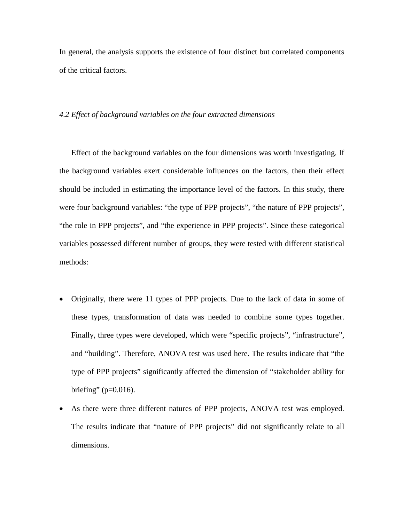In general, the analysis supports the existence of four distinct but correlated components of the critical factors.

#### *4.2 Effect of background variables on the four extracted dimensions*

Effect of the background variables on the four dimensions was worth investigating. If the background variables exert considerable influences on the factors, then their effect should be included in estimating the importance level of the factors. In this study, there were four background variables: "the type of PPP projects", "the nature of PPP projects", "the role in PPP projects", and "the experience in PPP projects". Since these categorical variables possessed different number of groups, they were tested with different statistical methods:

- Originally, there were 11 types of PPP projects. Due to the lack of data in some of these types, transformation of data was needed to combine some types together. Finally, three types were developed, which were "specific projects", "infrastructure", and "building". Therefore, ANOVA test was used here. The results indicate that "the type of PPP projects" significantly affected the dimension of "stakeholder ability for briefing" ( $p=0.016$ ).
- As there were three different natures of PPP projects, ANOVA test was employed. The results indicate that "nature of PPP projects" did not significantly relate to all dimensions.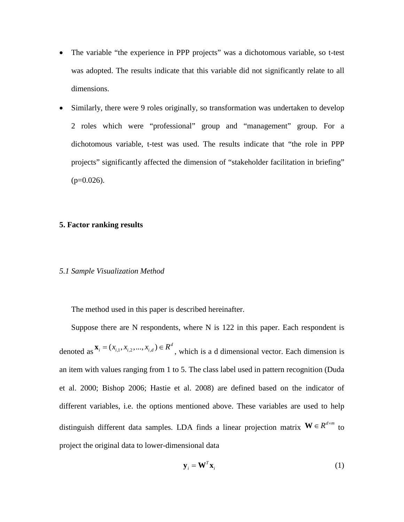- The variable "the experience in PPP projects" was a dichotomous variable, so t-test was adopted. The results indicate that this variable did not significantly relate to all dimensions.
- Similarly, there were 9 roles originally, so transformation was undertaken to develop 2 roles which were "professional" group and "management" group. For a dichotomous variable, t-test was used. The results indicate that "the role in PPP projects" significantly affected the dimension of "stakeholder facilitation in briefing"  $(p=0.026)$ .

#### **5. Factor ranking results**

#### *5.1 Sample Visualization Method*

The method used in this paper is described hereinafter.

Suppose there are N respondents, where N is 122 in this paper. Each respondent is denoted as  $\mathbf{x}_i = (x_{i,1}, x_{i,2}, ..., x_{i,d}) \in R^d$ , which is a d dimensional vector. Each dimension is an item with values ranging from 1 to 5. The class label used in pattern recognition (Duda et al. 2000; Bishop 2006; Hastie et al. 2008) are defined based on the indicator of different variables, i.e. the options mentioned above. These variables are used to help distinguish different data samples. LDA finds a linear projection matrix  $W \in R^{d \times m}$  to project the original data to lower-dimensional data

$$
\mathbf{y}_i = \mathbf{W}^T \mathbf{x}_i \tag{1}
$$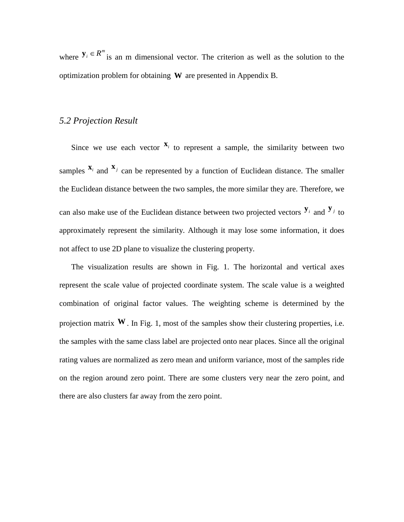where  $y_i \in R^m$  is an m dimensional vector. The criterion as well as the solution to the optimization problem for obtaining **W** are presented in Appendix B.

#### *5.2 Projection Result*

Since we use each vector  $\mathbf{x}_i$  to represent a sample, the similarity between two samples  $\mathbf{x}_i$  and  $\mathbf{x}_j$  can be represented by a function of Euclidean distance. The smaller the Euclidean distance between the two samples, the more similar they are. Therefore, we can also make use of the Euclidean distance between two projected vectors  $\mathbf{y}_i$  and  $\mathbf{y}_j$  to approximately represent the similarity. Although it may lose some information, it does not affect to use 2D plane to visualize the clustering property.

The visualization results are shown in Fig. 1. The horizontal and vertical axes represent the scale value of projected coordinate system. The scale value is a weighted combination of original factor values. The weighting scheme is determined by the projection matrix  $W$ . In Fig. 1, most of the samples show their clustering properties, i.e. the samples with the same class label are projected onto near places. Since all the original rating values are normalized as zero mean and uniform variance, most of the samples ride on the region around zero point. There are some clusters very near the zero point, and there are also clusters far away from the zero point.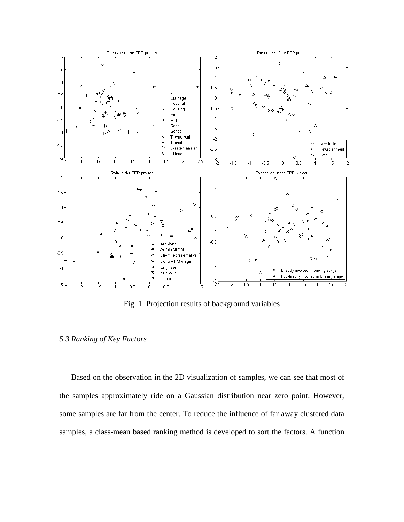

Fig. 1. Projection results of background variables

#### *5.3 Ranking of Key Factors*

Based on the observation in the 2D visualization of samples, we can see that most of the samples approximately ride on a Gaussian distribution near zero point. However, some samples are far from the center. To reduce the influence of far away clustered data samples, a class-mean based ranking method is developed to sort the factors. A function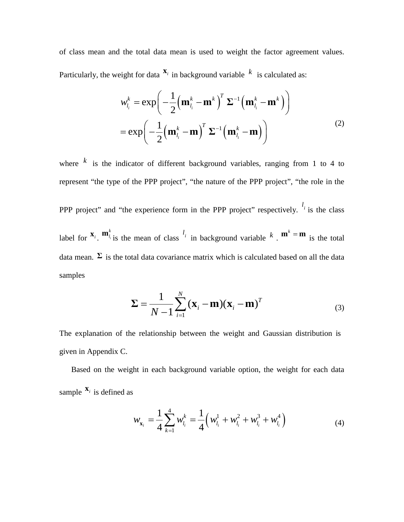of class mean and the total data mean is used to weight the factor agreement values. Particularly, the weight for data  $\mathbf{x}_i$  in background variable  $k$  is calculated as:

$$
w_{l_i}^k = \exp\left(-\frac{1}{2}\left(\mathbf{m}_{l_i}^k - \mathbf{m}^k\right)^T \Sigma^{-1} \left(\mathbf{m}_{l_i}^k - \mathbf{m}^k\right)\right)
$$

$$
= \exp\left(-\frac{1}{2}\left(\mathbf{m}_{l_i}^k - \mathbf{m}\right)^T \Sigma^{-1} \left(\mathbf{m}_{l_i}^k - \mathbf{m}\right)\right)
$$
(2)

where  $k$  is the indicator of different background variables, ranging from 1 to 4 to represent "the type of the PPP project", "the nature of the PPP project", "the role in the

PPP project" and "the experience form in the PPP project" respectively.  $\frac{l_i}{l}$  is the class label for  $\mathbf{x}_i$ ,  $\mathbf{m}_i^k$  is the mean of class  $\mathbf{x}_i$  in background variable  $k$ .  $\mathbf{m}^k = \mathbf{m}$  is the total data mean.  $\Sigma$  is the total data covariance matrix which is calculated based on all the data samples

$$
\Sigma = \frac{1}{N-1} \sum_{i=1}^{N} (\mathbf{x}_i - \mathbf{m})(\mathbf{x}_i - \mathbf{m})^T
$$
 (3)

The explanation of the relationship between the weight and Gaussian distribution is given in Appendix C.

Based on the weight in each background variable option, the weight for each data sample  $X_i$  is defined as

$$
w_{\mathbf{x}_i} = \frac{1}{4} \sum_{k=1}^{4} w_{l_i}^k = \frac{1}{4} \Big( w_{l_i}^1 + w_{l_i}^2 + w_{l_i}^3 + w_{l_i}^4 \Big)
$$
(4)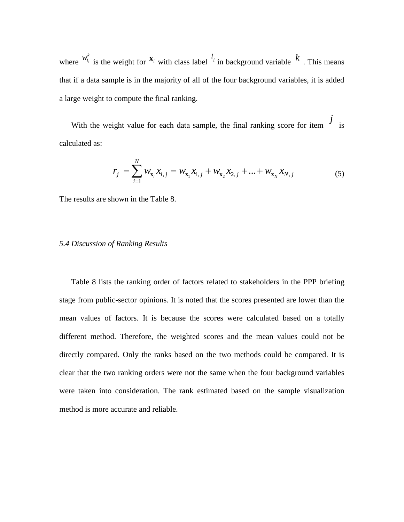where  $\frac{W_{l_i}}{W_{l_i}}$  $w_{l_i}^k$  is the weight for  $\mathbf{x}_i$  with class label  $l_i$  in background variable  $k$ . This means that if a data sample is in the majority of all of the four background variables, it is added a large weight to compute the final ranking.

With the weight value for each data sample, the final ranking score for item  $\frac{J}{s}$  is calculated as:

$$
r_j = \sum_{i=1}^{N} w_{\mathbf{x}_i} x_{i,j} = w_{\mathbf{x}_1} x_{1,j} + w_{\mathbf{x}_2} x_{2,j} + \dots + w_{\mathbf{x}_N} x_{N,j}
$$
(5)

The results are shown in the Table 8.

#### *5.4 Discussion of Ranking Results*

Table 8 lists the ranking order of factors related to stakeholders in the PPP briefing stage from public-sector opinions. It is noted that the scores presented are lower than the mean values of factors. It is because the scores were calculated based on a totally different method. Therefore, the weighted scores and the mean values could not be directly compared. Only the ranks based on the two methods could be compared. It is clear that the two ranking orders were not the same when the four background variables were taken into consideration. The rank estimated based on the sample visualization method is more accurate and reliable.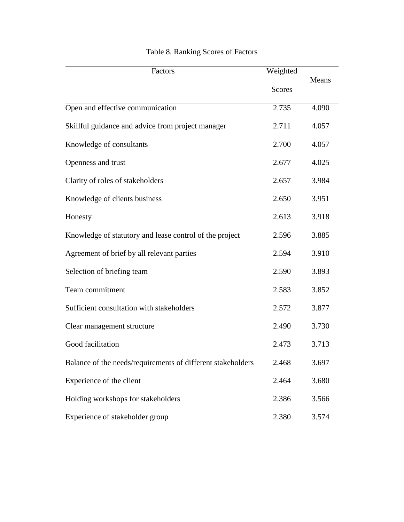| Factors                                                     | Weighted      |       |  |
|-------------------------------------------------------------|---------------|-------|--|
|                                                             | <b>Scores</b> | Means |  |
| Open and effective communication                            | 2.735         | 4.090 |  |
| Skillful guidance and advice from project manager           | 2.711         | 4.057 |  |
| Knowledge of consultants                                    | 2.700         | 4.057 |  |
| Openness and trust                                          | 2.677         | 4.025 |  |
| Clarity of roles of stakeholders                            | 2.657         | 3.984 |  |
| Knowledge of clients business                               | 2.650         | 3.951 |  |
| Honesty                                                     | 2.613         | 3.918 |  |
| Knowledge of statutory and lease control of the project     | 2.596         | 3.885 |  |
| Agreement of brief by all relevant parties                  | 2.594         | 3.910 |  |
| Selection of briefing team                                  | 2.590         | 3.893 |  |
| Team commitment                                             | 2.583         | 3.852 |  |
| Sufficient consultation with stakeholders                   | 2.572         | 3.877 |  |
| Clear management structure                                  | 2.490         | 3.730 |  |
| Good facilitation                                           | 2.473         | 3.713 |  |
| Balance of the needs/requirements of different stakeholders | 2.468         | 3.697 |  |
| Experience of the client                                    | 2.464         | 3.680 |  |
| Holding workshops for stakeholders                          | 2.386         | 3.566 |  |
| Experience of stakeholder group                             | 2.380         | 3.574 |  |

# Table 8. Ranking Scores of Factors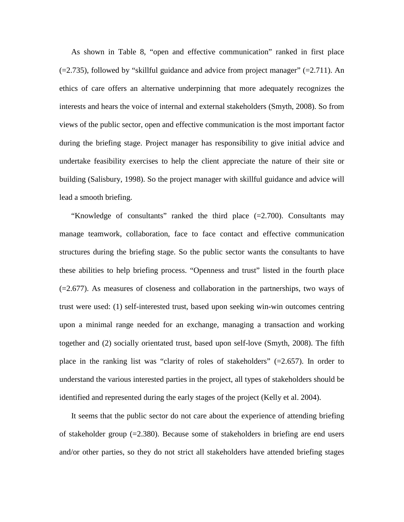As shown in Table 8, "open and effective communication" ranked in first place  $(=2.735)$ , followed by "skillful guidance and advice from project manager"  $(=2.711)$ . An ethics of care offers an alternative underpinning that more adequately recognizes the interests and hears the voice of internal and external stakeholders (Smyth, 2008). So from views of the public sector, open and effective communication is the most important factor during the briefing stage. Project manager has responsibility to give initial advice and undertake feasibility exercises to help the client appreciate the nature of their site or building (Salisbury, 1998). So the project manager with skillful guidance and advice will lead a smooth briefing.

"Knowledge of consultants" ranked the third place  $(=2.700)$ . Consultants may manage teamwork, collaboration, face to face contact and effective communication structures during the briefing stage. So the public sector wants the consultants to have these abilities to help briefing process. "Openness and trust" listed in the fourth place  $(=2.677)$ . As measures of closeness and collaboration in the partnerships, two ways of trust were used: (1) self-interested trust, based upon seeking win-win outcomes centring upon a minimal range needed for an exchange, managing a transaction and working together and (2) socially orientated trust, based upon self-love (Smyth, 2008). The fifth place in the ranking list was "clarity of roles of stakeholders" (=2.657). In order to understand the various interested parties in the project, all types of stakeholders should be identified and represented during the early stages of the project (Kelly et al. 2004).

It seems that the public sector do not care about the experience of attending briefing of stakeholder group  $(=2.380)$ . Because some of stakeholders in briefing are end users and/or other parties, so they do not strict all stakeholders have attended briefing stages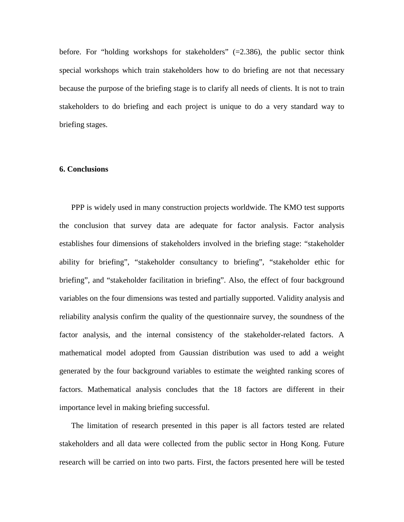before. For "holding workshops for stakeholders"  $(=2.386)$ , the public sector think special workshops which train stakeholders how to do briefing are not that necessary because the purpose of the briefing stage is to clarify all needs of clients. It is not to train stakeholders to do briefing and each project is unique to do a very standard way to briefing stages.

#### **6. Conclusions**

PPP is widely used in many construction projects worldwide. The KMO test supports the conclusion that survey data are adequate for factor analysis. Factor analysis establishes four dimensions of stakeholders involved in the briefing stage: "stakeholder ability for briefing", "stakeholder consultancy to briefing", "stakeholder ethic for briefing", and "stakeholder facilitation in briefing". Also, the effect of four background variables on the four dimensions was tested and partially supported. Validity analysis and reliability analysis confirm the quality of the questionnaire survey, the soundness of the factor analysis, and the internal consistency of the stakeholder-related factors. A mathematical model adopted from Gaussian distribution was used to add a weight generated by the four background variables to estimate the weighted ranking scores of factors. Mathematical analysis concludes that the 18 factors are different in their importance level in making briefing successful.

The limitation of research presented in this paper is all factors tested are related stakeholders and all data were collected from the public sector in Hong Kong. Future research will be carried on into two parts. First, the factors presented here will be tested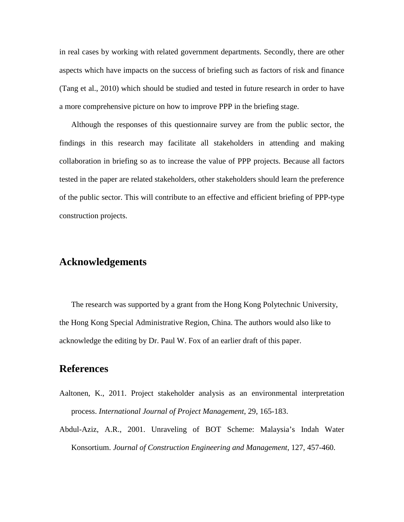in real cases by working with related government departments. Secondly, there are other aspects which have impacts on the success of briefing such as factors of risk and finance (Tang et al., 2010) which should be studied and tested in future research in order to have a more comprehensive picture on how to improve PPP in the briefing stage.

Although the responses of this questionnaire survey are from the public sector, the findings in this research may facilitate all stakeholders in attending and making collaboration in briefing so as to increase the value of PPP projects. Because all factors tested in the paper are related stakeholders, other stakeholders should learn the preference of the public sector. This will contribute to an effective and efficient briefing of PPP-type construction projects.

# **Acknowledgements**

The research was supported by a grant from the Hong Kong Polytechnic University, the Hong Kong Special Administrative Region, China. The authors would also like to acknowledge the editing by Dr. Paul W. Fox of an earlier draft of this paper.

# **References**

- Aaltonen, K., 2011. Project stakeholder analysis as an environmental interpretation process. *International Journal of Project Management*, 29, 165-183.
- Abdul-Aziz, A.R., 2001. Unraveling of BOT Scheme: Malaysia's Indah Water Konsortium. *Journal of Construction Engineering and Management*, 127, 457-460.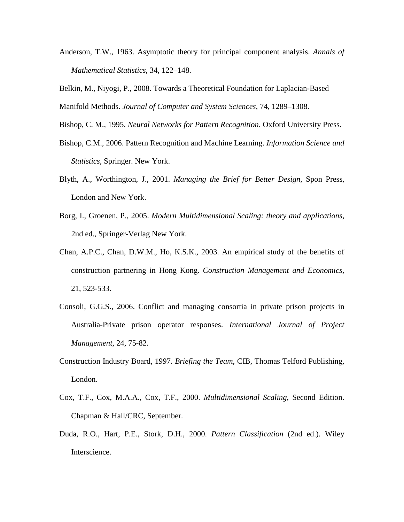Anderson, T.W., 1963. Asymptotic theory for principal component analysis. *Annals of Mathematical Statistics*, 34, 122–148.

Belkin, M., Niyogi, P., 2008. Towards a Theoretical Foundation for Laplacian-Based Manifold Methods. *Journal of Computer and System Sciences*, 74, 1289–1308.

Bishop, C. M., 1995. *Neural Networks for Pattern Recognition*. Oxford University Press.

- Bishop, C.M., 2006. Pattern Recognition and Machine Learning. *Information Science and Statistics*, Springer. New York.
- Blyth, A., Worthington, J., 2001. *Managing the Brief for Better Design*, Spon Press, London and New York.
- Borg, I., Groenen, P., 2005. *Modern Multidimensional Scaling: theory and applications*, 2nd ed., Springer-Verlag New York.
- Chan, A.P.C., Chan, D.W.M., Ho, K.S.K., 2003. An empirical study of the benefits of construction partnering in Hong Kong. *Construction Management and Economics*, 21, 523-533.
- Consoli, G.G.S., 2006. Conflict and managing consortia in private prison projects in Australia-Private prison operator responses. *International Journal of Project Management*, 24, 75-82.
- Construction Industry Board, 1997. *Briefing the Team*, CIB, Thomas Telford Publishing, London.
- Cox, T.F., Cox, M.A.A., Cox, T.F., 2000. *Multidimensional Scaling*, Second Edition. Chapman & Hall/CRC, September.
- Duda, R.O., Hart, P.E., Stork, D.H., 2000. *Pattern Classification* (2nd ed.). Wiley Interscience.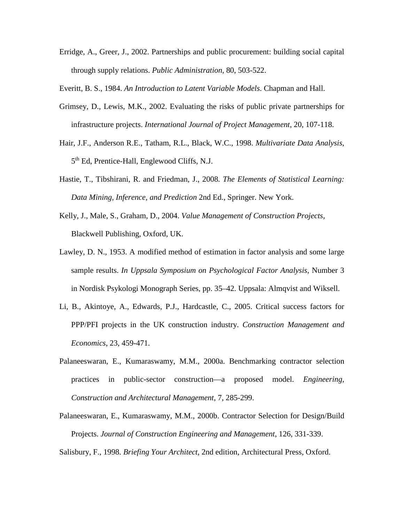Erridge, A., Greer, J., 2002. Partnerships and public procurement: building social capital through supply relations. *Public Administration*, 80, 503-522.

Everitt, B. S., 1984. *An Introduction to Latent Variable Models*. Chapman and Hall.

- Grimsey, D., Lewis, M.K., 2002. Evaluating the risks of public private partnerships for infrastructure projects. *International Journal of Project Management*, 20, 107-118.
- Hair, J.F., Anderson R.E., Tatham, R.L., Black, W.C., 1998. *Multivariate Data Analysis*, 5th Ed, Prentice-Hall, Englewood Cliffs, N.J.
- Hastie, T., Tibshirani, R. and Friedman, J., 2008. *The Elements of Statistical Learning: Data Mining, Inference, and Prediction* 2nd Ed., Springer. New York.
- Kelly, J., Male, S., Graham, D., 2004. *Value Management of Construction Projects,*  Blackwell Publishing, Oxford, UK.
- Lawley, D. N., 1953. A modified method of estimation in factor analysis and some large sample results. *In Uppsala Symposium on Psychological Factor Analysis*, Number 3 in Nordisk Psykologi Monograph Series, pp. 35–42. Uppsala: Almqvist and Wiksell.
- Li, B., Akintoye, A., Edwards, P.J., Hardcastle, C., 2005. Critical success factors for PPP/PFI projects in the UK construction industry. *Construction Management and Economics*, 23, 459-471.
- Palaneeswaran, E., Kumaraswamy, M.M., 2000a. Benchmarking contractor selection practices in public-sector construction—a proposed model. *Engineering, Construction and Architectural Management*, 7, 285-299.
- Palaneeswaran, E., Kumaraswamy, M.M., 2000b. Contractor Selection for Design/Build Projects. *Journal of Construction Engineering and Management*, 126, 331-339.
- Salisbury, F., 1998. *Briefing Your Architect*, 2nd edition, Architectural Press, Oxford.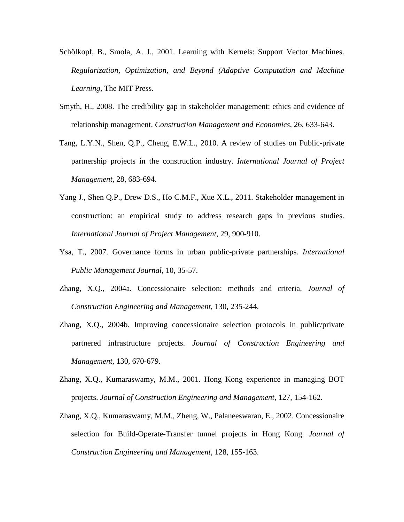- Schölkopf, B., Smola, A. J., 2001. Learning with Kernels: Support Vector Machines. *Regularization, Optimization, and Beyond (Adaptive Computation and Machine Learning*, The MIT Press.
- Smyth, H., 2008. The credibility gap in stakeholder management: ethics and evidence of relationship management. *Construction Management and Economics*, 26, 633-643.
- Tang, L.Y.N., Shen, Q.P., Cheng, E.W.L., 2010. A review of studies on Public-private partnership projects in the construction industry. *International Journal of Project Management*, 28, 683-694.
- Yang J., Shen Q.P., Drew D.S., Ho C.M.F., Xue X.L., 2011. Stakeholder management in construction: an empirical study to address research gaps in previous studies. *International Journal of Project Management*, 29, 900-910.
- Ysa, T., 2007. Governance forms in urban public-private partnerships. *International Public Management Journal*, 10, 35-57.
- Zhang, X.Q., 2004a. Concessionaire selection: methods and criteria. *Journal of Construction Engineering and Management*, 130, 235-244.
- Zhang, X.Q., 2004b. Improving concessionaire selection protocols in public/private partnered infrastructure projects. *Journal of Construction Engineering and Management*, 130, 670-679.
- Zhang, X.Q., Kumaraswamy, M.M., 2001. Hong Kong experience in managing BOT projects. *Journal of Construction Engineering and Management*, 127, 154-162.
- Zhang, X.Q., Kumaraswamy, M.M., Zheng, W., Palaneeswaran, E., 2002. Concessionaire selection for Build-Operate-Transfer tunnel projects in Hong Kong. *Journal of Construction Engineering and Management*, 128, 155-163.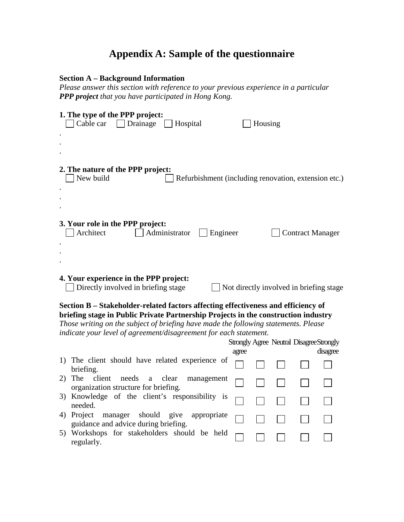# **Appendix A: Sample of the questionnaire**

### **Section A – Background Information**

*Please answer this section with reference to your previous experience in a particular PPP project that you have participated in Hong Kong.*

|                                                                                                                                                                                                                                                                                                     | 1. The type of the PPP project:<br>Cable car<br>$\vert$ Drainage<br>Hospital                                                                                 |       | Housing |  |  |                                                             |  |  |
|-----------------------------------------------------------------------------------------------------------------------------------------------------------------------------------------------------------------------------------------------------------------------------------------------------|--------------------------------------------------------------------------------------------------------------------------------------------------------------|-------|---------|--|--|-------------------------------------------------------------|--|--|
|                                                                                                                                                                                                                                                                                                     | 2. The nature of the PPP project:<br>New build<br>Refurbishment (including renovation, extension etc.)                                                       |       |         |  |  |                                                             |  |  |
|                                                                                                                                                                                                                                                                                                     | 3. Your role in the PPP project:<br>Architect<br>Administrator<br>Engineer<br><b>Contract Manager</b>                                                        |       |         |  |  |                                                             |  |  |
| 4. Your experience in the PPP project:<br>Directly involved in briefing stage<br>Not directly involved in briefing stage<br>Section B – Stakeholder-related factors affecting effectiveness and efficiency of<br>briefing stage in Public Private Partnership Projects in the construction industry |                                                                                                                                                              |       |         |  |  |                                                             |  |  |
|                                                                                                                                                                                                                                                                                                     | Those writing on the subject of briefing have made the following statements. Please<br>indicate your level of agreement/disagreement for each statement.     | agree |         |  |  | <b>Strongly Agree Neutral Disagree Strongly</b><br>disagree |  |  |
|                                                                                                                                                                                                                                                                                                     | 1) The client should have related experience of<br>briefing.                                                                                                 |       |         |  |  |                                                             |  |  |
| 2)                                                                                                                                                                                                                                                                                                  | client<br>The<br>needs<br>clear<br>a<br>management<br>organization structure for briefing.                                                                   |       |         |  |  |                                                             |  |  |
|                                                                                                                                                                                                                                                                                                     | 3) Knowledge of the client's responsibility is<br>needed.                                                                                                    |       |         |  |  |                                                             |  |  |
|                                                                                                                                                                                                                                                                                                     | 4) Project<br>give<br>manager<br>should<br>appropriate<br>guidance and advice during briefing.<br>5) Workshops for stakeholders should be held<br>regularly. |       |         |  |  |                                                             |  |  |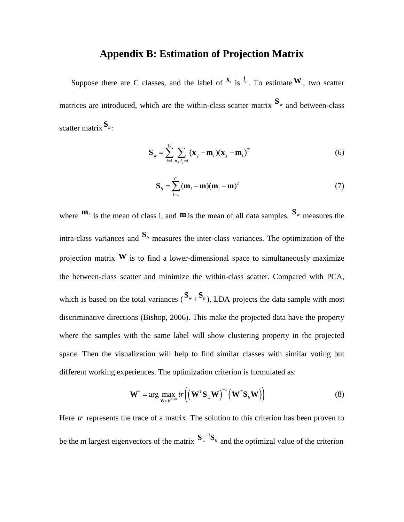## **Appendix B: Estimation of Projection Matrix**

Suppose there are C classes, and the label of  $X_i$  is  $\ell_i$ . To estimate **W**, two scatter matrices are introduced, which are the within-class scatter matrix  $S_w$  and between-class scatter matrix**S***<sup>b</sup>* :

$$
\mathbf{S}_{w} = \sum_{i=1}^{C} \sum_{\mathbf{x}_{j}:l_{j}=i} (\mathbf{x}_{j} - \mathbf{m}_{i})(\mathbf{x}_{j} - \mathbf{m}_{i})^{T}
$$
(6)

$$
\mathbf{S}_b = \sum_{i=1}^{C} (\mathbf{m}_i - \mathbf{m})(\mathbf{m}_i - \mathbf{m})^T
$$
 (7)

where  $\mathbf{m}_i$  is the mean of class i, and  $\mathbf{m}$  is the mean of all data samples.  $\mathbf{S}_w$  measures the intra-class variances and  $S_b$  measures the inter-class variances. The optimization of the projection matrix  $W$  is to find a lower-dimensional space to simultaneously maximize the between-class scatter and minimize the within-class scatter. Compared with PCA, which is based on the total variances  $({\bf S}_{w_+} {\bf S}_{b})$ , LDA projects the data sample with most discriminative directions (Bishop, 2006). This make the projected data have the property where the samples with the same label will show clustering property in the projected space. Then the visualization will help to find similar classes with similar voting but different working experiences. The optimization criterion is formulated as:

$$
\mathbf{W}^* = \arg \max_{\mathbf{W} \in R^{d \times m}} tr \left( \left( \mathbf{W}^T \mathbf{S}_w \mathbf{W} \right)^{-1} \left( \mathbf{W}^T \mathbf{S}_b \mathbf{W} \right) \right)
$$
(8)

Here *tr* represents the trace of a matrix. The solution to this criterion has been proven to be the m largest eigenvectors of the matrix  $S_{w}^{-1}$  $S_w^{-1}S_b$  and the optimizal value of the criterion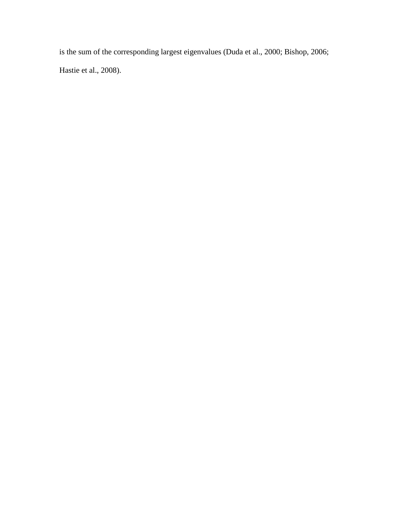is the sum of the corresponding largest eigenvalues (Duda et al., 2000; Bishop, 2006; Hastie et al., 2008).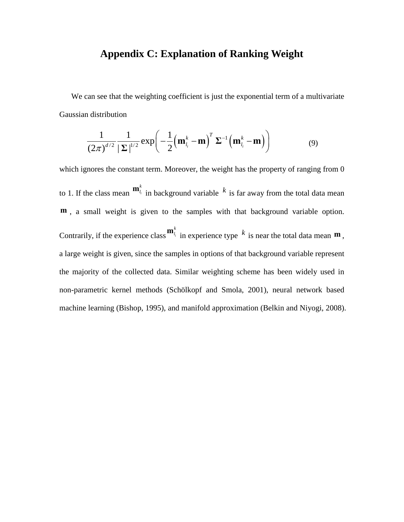# **Appendix C: Explanation of Ranking Weight**

We can see that the weighting coefficient is just the exponential term of a multivariate Gaussian distribution

$$
\frac{1}{(2\pi)^{d/2}}\frac{1}{|\mathbf{\Sigma}|^{1/2}}\exp\left(-\frac{1}{2}\left(\mathbf{m}_{l_i}^k-\mathbf{m}\right)^T\mathbf{\Sigma}^{-1}\left(\mathbf{m}_{l_i}^k-\mathbf{m}\right)\right) \tag{9}
$$

which ignores the constant term. Moreover, the weight has the property of ranging from 0 to 1. If the class mean  $\mathbf{m}_{l_i}^k$  in background variable  $k$  is far away from the total data mean **m**, a small weight is given to the samples with that background variable option. Contrarily, if the experience class  $^{\mathbf{m}_{l_i}^k}$  in experience type  $k$  is near the total data mean  $^{\mathbf{m}}$ , a large weight is given, since the samples in options of that background variable represent the majority of the collected data. Similar weighting scheme has been widely used in non-parametric kernel methods (Schölkopf and Smola, 2001), neural network based machine learning (Bishop, 1995), and manifold approximation (Belkin and Niyogi, 2008).